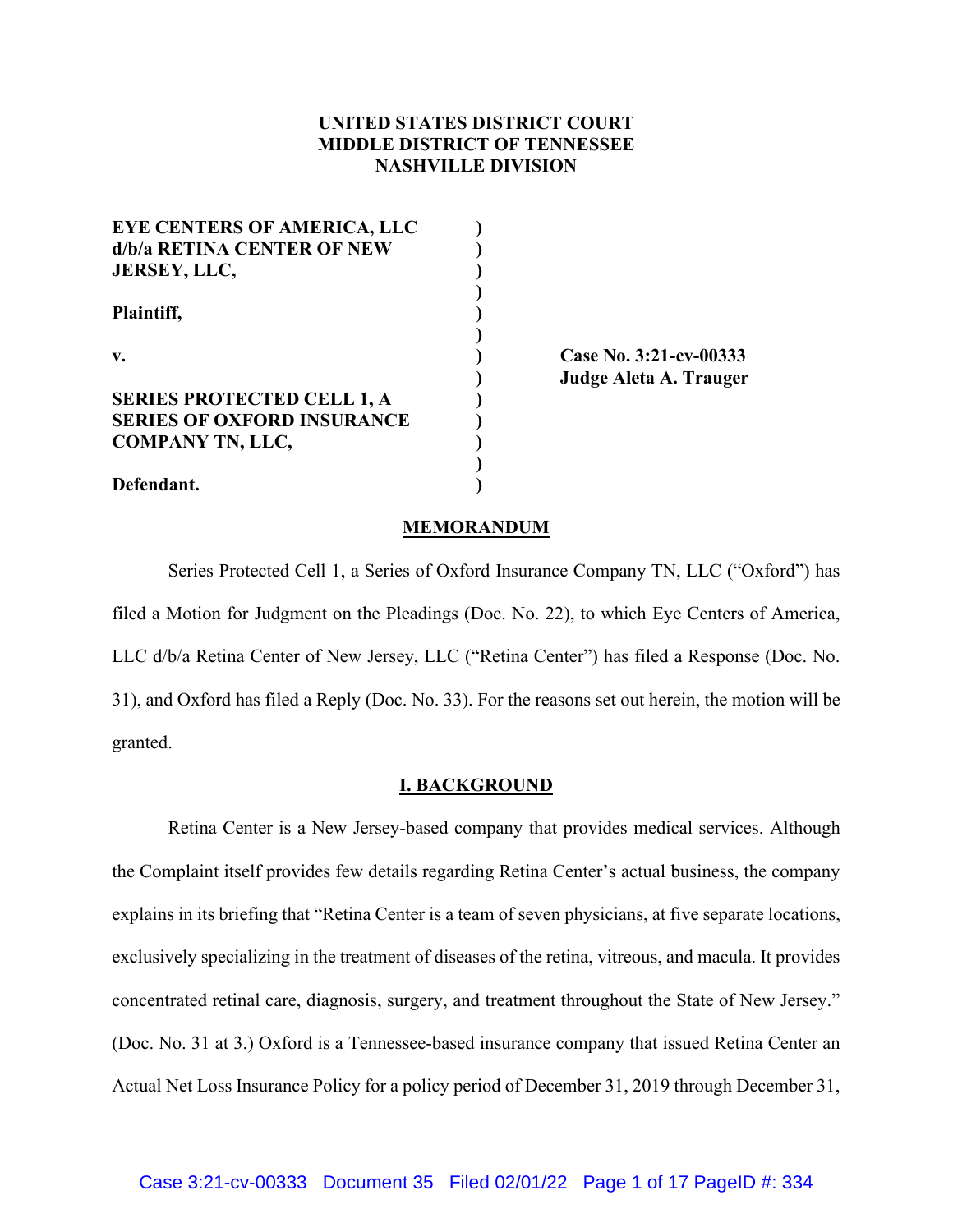# **UNITED STATES DISTRICT COURT MIDDLE DISTRICT OF TENNESSEE NASHVILLE DIVISION**

| <b>EYE CENTERS OF AMERICA, LLC</b>                  |                                                              |  |
|-----------------------------------------------------|--------------------------------------------------------------|--|
| d/b/a RETINA CENTER OF NEW                          |                                                              |  |
| <b>JERSEY, LLC,</b><br>Plaintiff,<br>$\mathbf{v}$ . |                                                              |  |
|                                                     |                                                              |  |
|                                                     |                                                              |  |
|                                                     | <b>SERIES PROTECTED CELL 1, A</b>                            |  |
|                                                     | <b>SERIES OF OXFORD INSURANCE</b><br><b>COMPANY TN, LLC,</b> |  |
|                                                     |                                                              |  |
| Defendant.                                          |                                                              |  |

**v. ) Case No. 3:21-cv-00333 ) Judge Aleta A. Trauger**

### **MEMORANDUM**

Series Protected Cell 1, a Series of Oxford Insurance Company TN, LLC ("Oxford") has filed a Motion for Judgment on the Pleadings (Doc. No. 22), to which Eye Centers of America, LLC d/b/a Retina Center of New Jersey, LLC ("Retina Center") has filed a Response (Doc. No. 31), and Oxford has filed a Reply (Doc. No. 33). For the reasons set out herein, the motion will be granted.

#### **I. BACKGROUND**

Retina Center is a New Jersey-based company that provides medical services. Although the Complaint itself provides few details regarding Retina Center's actual business, the company explains in its briefing that "Retina Center is a team of seven physicians, at five separate locations, exclusively specializing in the treatment of diseases of the retina, vitreous, and macula. It provides concentrated retinal care, diagnosis, surgery, and treatment throughout the State of New Jersey." (Doc. No. 31 at 3.) Oxford is a Tennessee-based insurance company that issued Retina Center an Actual Net Loss Insurance Policy for a policy period of December 31, 2019 through December 31,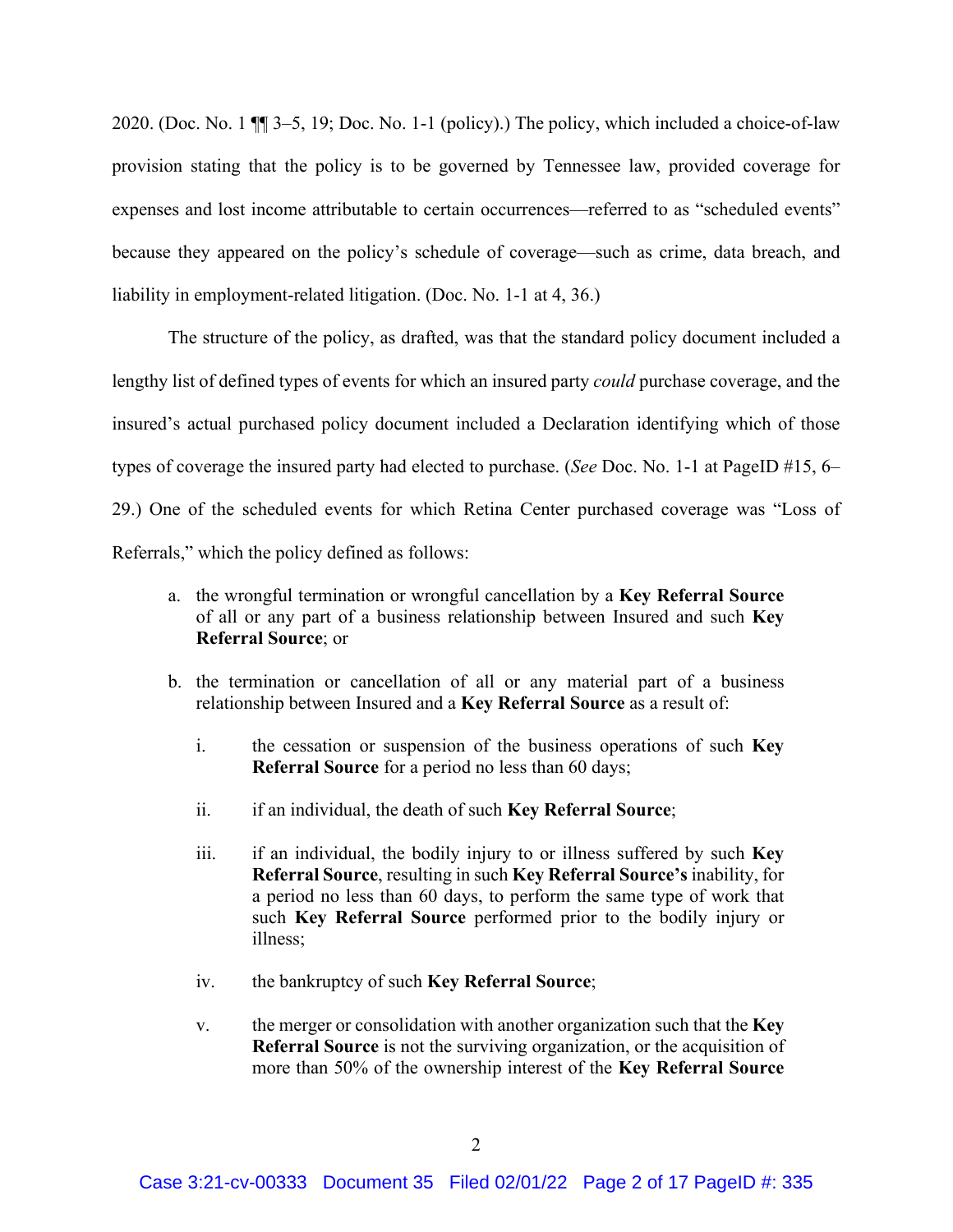2020. (Doc. No. 1 ¶¶ 3–5, 19; Doc. No. 1-1 (policy).) The policy, which included a choice-of-law provision stating that the policy is to be governed by Tennessee law, provided coverage for expenses and lost income attributable to certain occurrences—referred to as "scheduled events" because they appeared on the policy's schedule of coverage—such as crime, data breach, and liability in employment-related litigation. (Doc. No. 1-1 at 4, 36.)

The structure of the policy, as drafted, was that the standard policy document included a lengthy list of defined types of events for which an insured party *could* purchase coverage, and the insured's actual purchased policy document included a Declaration identifying which of those types of coverage the insured party had elected to purchase. (*See* Doc. No. 1-1 at PageID #15, 6– 29.) One of the scheduled events for which Retina Center purchased coverage was "Loss of Referrals," which the policy defined as follows:

- a. the wrongful termination or wrongful cancellation by a **Key Referral Source** of all or any part of a business relationship between Insured and such **Key Referral Source**; or
- b. the termination or cancellation of all or any material part of a business relationship between Insured and a **Key Referral Source** as a result of:
	- i. the cessation or suspension of the business operations of such **Key Referral Source** for a period no less than 60 days;
	- ii. if an individual, the death of such **Key Referral Source**;
	- iii. if an individual, the bodily injury to or illness suffered by such **Key Referral Source**, resulting in such **Key Referral Source's** inability, for a period no less than 60 days, to perform the same type of work that such **Key Referral Source** performed prior to the bodily injury or illness;
	- iv. the bankruptcy of such **Key Referral Source**;
	- v. the merger or consolidation with another organization such that the **Key Referral Source** is not the surviving organization, or the acquisition of more than 50% of the ownership interest of the **Key Referral Source**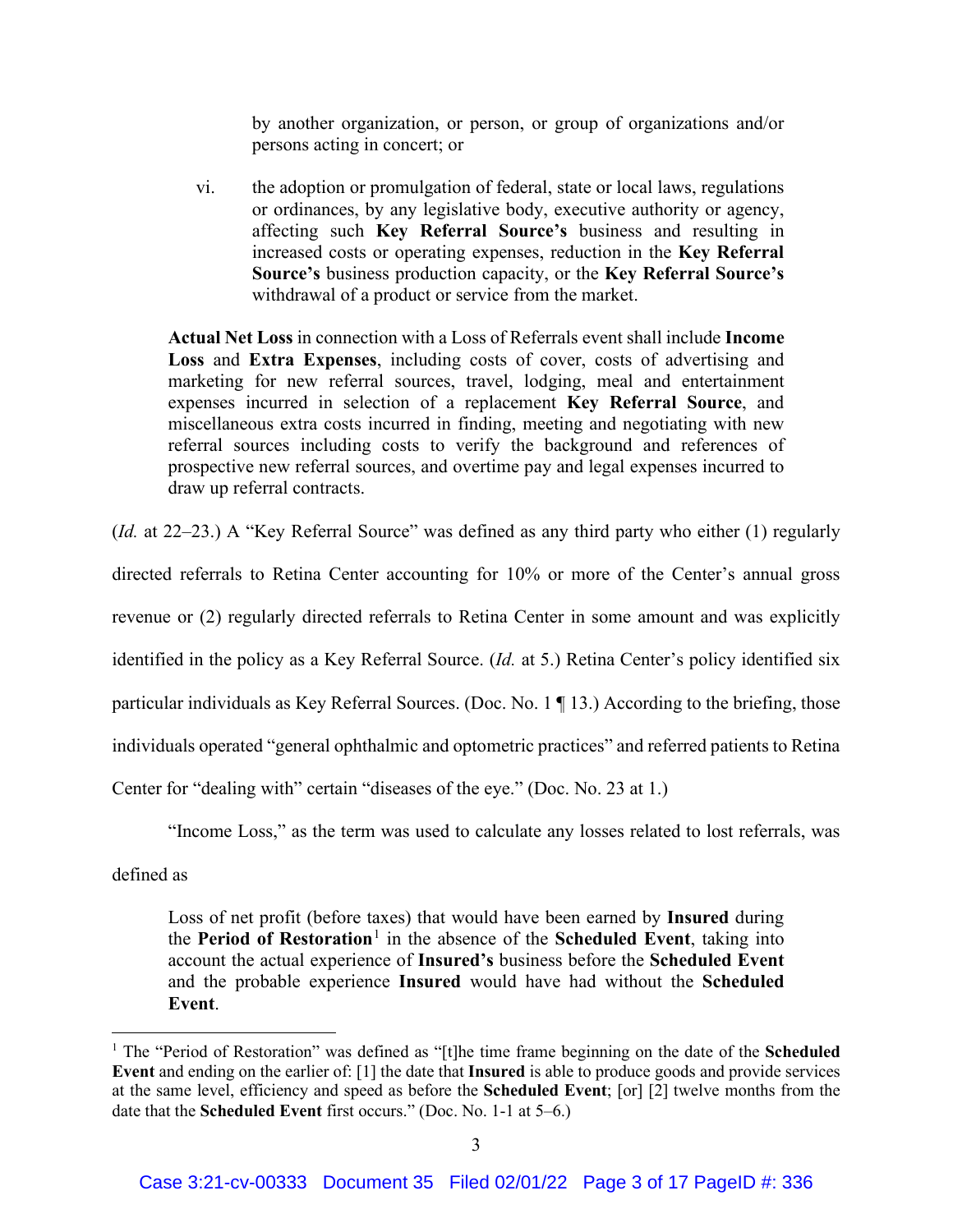by another organization, or person, or group of organizations and/or persons acting in concert; or

vi. the adoption or promulgation of federal, state or local laws, regulations or ordinances, by any legislative body, executive authority or agency, affecting such **Key Referral Source's** business and resulting in increased costs or operating expenses, reduction in the **Key Referral Source's** business production capacity, or the **Key Referral Source's** withdrawal of a product or service from the market.

**Actual Net Loss** in connection with a Loss of Referrals event shall include **Income Loss** and **Extra Expenses**, including costs of cover, costs of advertising and marketing for new referral sources, travel, lodging, meal and entertainment expenses incurred in selection of a replacement **Key Referral Source**, and miscellaneous extra costs incurred in finding, meeting and negotiating with new referral sources including costs to verify the background and references of prospective new referral sources, and overtime pay and legal expenses incurred to draw up referral contracts.

(*Id.* at 22–23.) A "Key Referral Source" was defined as any third party who either (1) regularly

directed referrals to Retina Center accounting for 10% or more of the Center's annual gross

revenue or (2) regularly directed referrals to Retina Center in some amount and was explicitly

identified in the policy as a Key Referral Source. (*Id.* at 5.) Retina Center's policy identified six

particular individuals as Key Referral Sources. (Doc. No. 1 ¶ 13.) According to the briefing, those

individuals operated "general ophthalmic and optometric practices" and referred patients to Retina

Center for "dealing with" certain "diseases of the eye." (Doc. No. 23 at 1.)

"Income Loss," as the term was used to calculate any losses related to lost referrals, was

defined as

Loss of net profit (before taxes) that would have been earned by **Insured** during the **Period of Restoration**<sup>1</sup> in the absence of the **Scheduled Event**, taking into account the actual experience of **Insured's** business before the **Scheduled Event** and the probable experience **Insured** would have had without the **Scheduled Event**.

<sup>1</sup> The "Period of Restoration" was defined as "[t]he time frame beginning on the date of the **Scheduled Event** and ending on the earlier of: [1] the date that **Insured** is able to produce goods and provide services at the same level, efficiency and speed as before the **Scheduled Event**; [or] [2] twelve months from the date that the **Scheduled Event** first occurs." (Doc. No. 1-1 at 5–6.)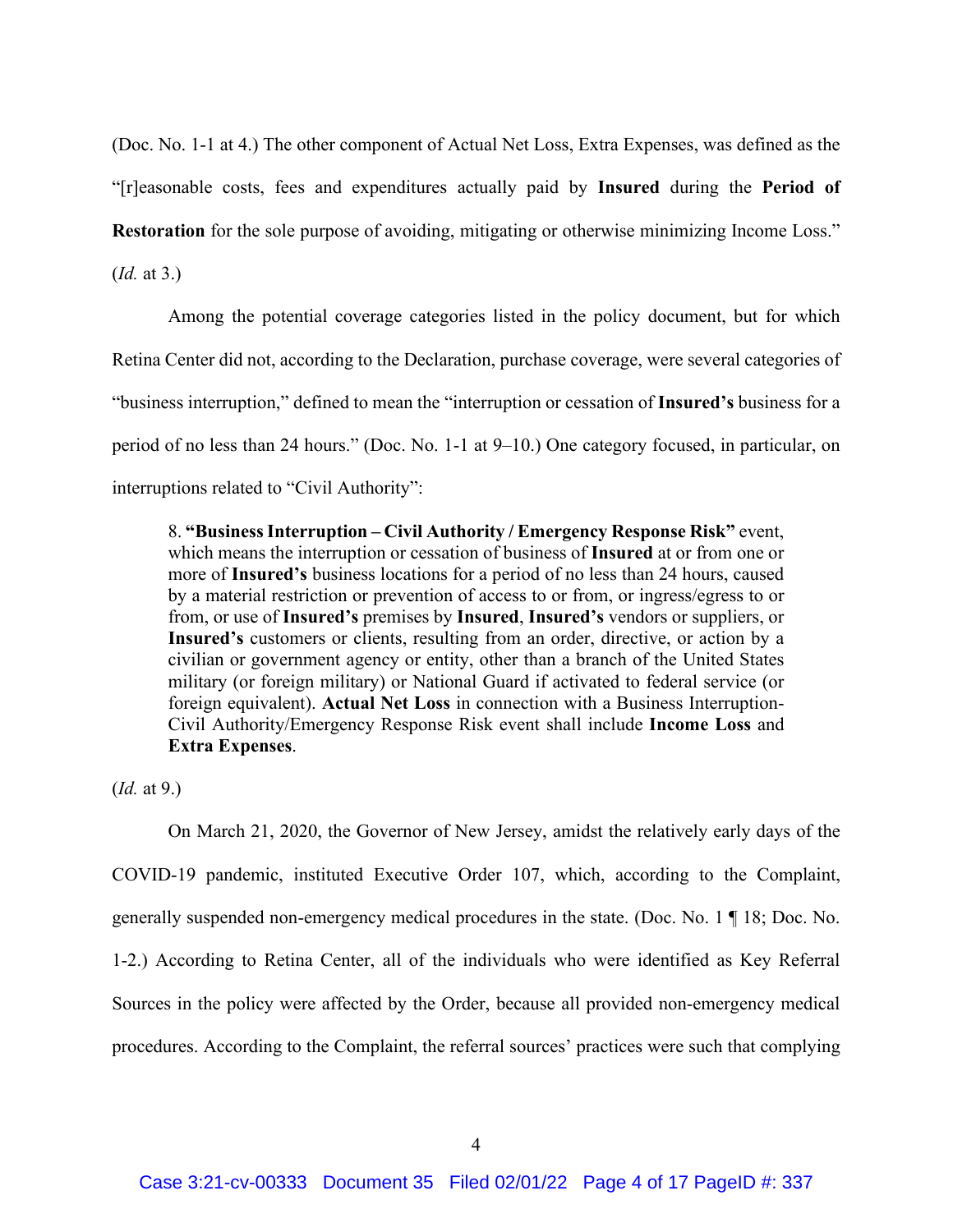(Doc. No. 1-1 at 4.) The other component of Actual Net Loss, Extra Expenses, was defined as the "[r]easonable costs, fees and expenditures actually paid by **Insured** during the **Period of Restoration** for the sole purpose of avoiding, mitigating or otherwise minimizing Income Loss."

(*Id.* at 3.)

Among the potential coverage categories listed in the policy document, but for which Retina Center did not, according to the Declaration, purchase coverage, were several categories of "business interruption," defined to mean the "interruption or cessation of **Insured's** business for a period of no less than 24 hours." (Doc. No. 1-1 at 9–10.) One category focused, in particular, on interruptions related to "Civil Authority":

8. **"Business Interruption – Civil Authority / Emergency Response Risk"** event, which means the interruption or cessation of business of **Insured** at or from one or more of **Insured's** business locations for a period of no less than 24 hours, caused by a material restriction or prevention of access to or from, or ingress/egress to or from, or use of **Insured's** premises by **Insured**, **Insured's** vendors or suppliers, or **Insured's** customers or clients, resulting from an order, directive, or action by a civilian or government agency or entity, other than a branch of the United States military (or foreign military) or National Guard if activated to federal service (or foreign equivalent). **Actual Net Loss** in connection with a Business Interruption-Civil Authority/Emergency Response Risk event shall include **Income Loss** and **Extra Expenses**.

(*Id.* at 9.)

On March 21, 2020, the Governor of New Jersey, amidst the relatively early days of the COVID-19 pandemic, instituted Executive Order 107, which, according to the Complaint, generally suspended non-emergency medical procedures in the state. (Doc. No. 1 ¶ 18; Doc. No. 1-2.) According to Retina Center, all of the individuals who were identified as Key Referral Sources in the policy were affected by the Order, because all provided non-emergency medical procedures. According to the Complaint, the referral sources' practices were such that complying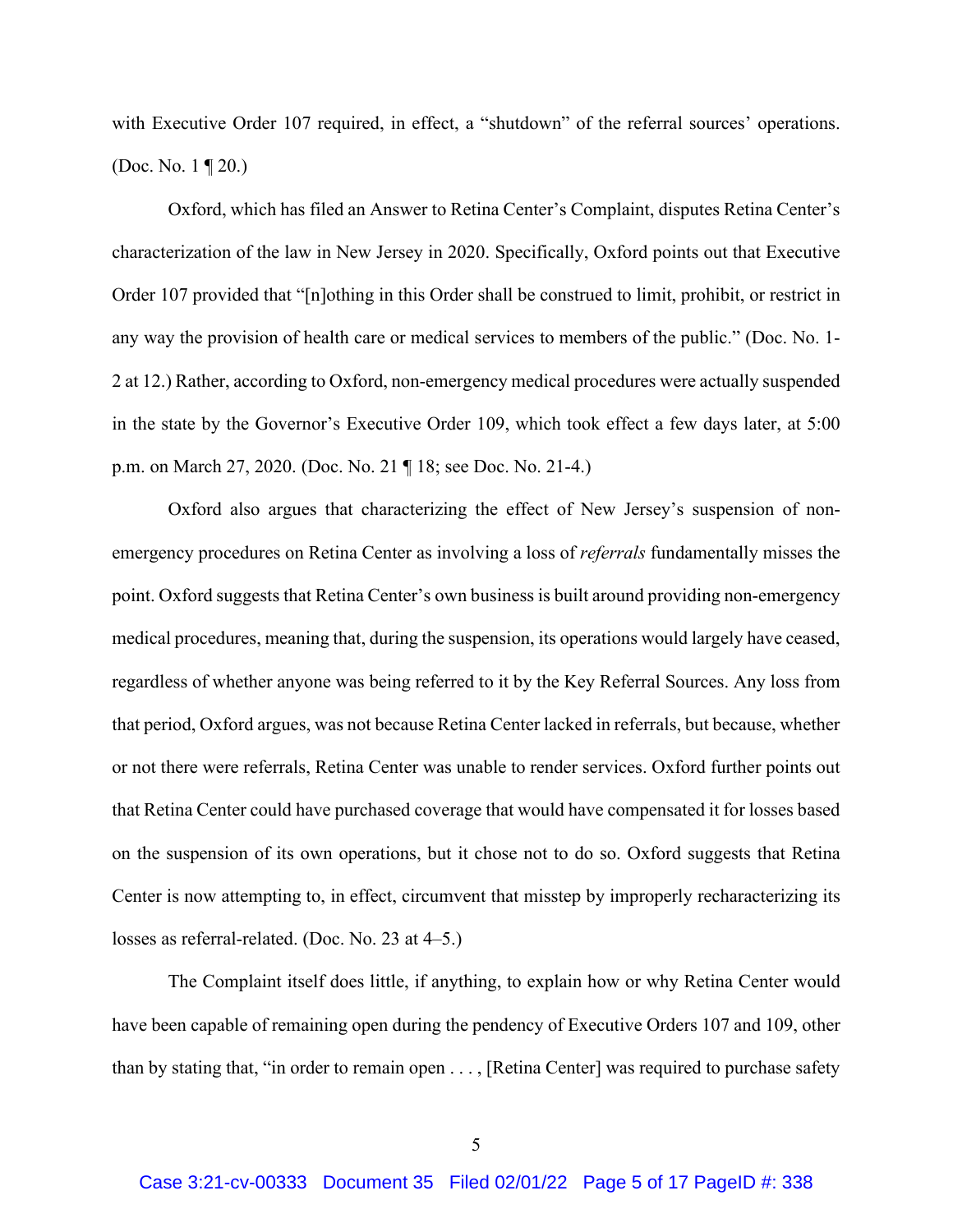with Executive Order 107 required, in effect, a "shutdown" of the referral sources' operations. (Doc. No. 1 ¶ 20.)

Oxford, which has filed an Answer to Retina Center's Complaint, disputes Retina Center's characterization of the law in New Jersey in 2020. Specifically, Oxford points out that Executive Order 107 provided that "[n]othing in this Order shall be construed to limit, prohibit, or restrict in any way the provision of health care or medical services to members of the public." (Doc. No. 1- 2 at 12.) Rather, according to Oxford, non-emergency medical procedures were actually suspended in the state by the Governor's Executive Order 109, which took effect a few days later, at 5:00 p.m. on March 27, 2020. (Doc. No. 21 ¶ 18; see Doc. No. 21-4.)

Oxford also argues that characterizing the effect of New Jersey's suspension of nonemergency procedures on Retina Center as involving a loss of *referrals* fundamentally misses the point. Oxford suggests that Retina Center's own business is built around providing non-emergency medical procedures, meaning that, during the suspension, its operations would largely have ceased, regardless of whether anyone was being referred to it by the Key Referral Sources. Any loss from that period, Oxford argues, was not because Retina Center lacked in referrals, but because, whether or not there were referrals, Retina Center was unable to render services. Oxford further points out that Retina Center could have purchased coverage that would have compensated it for losses based on the suspension of its own operations, but it chose not to do so. Oxford suggests that Retina Center is now attempting to, in effect, circumvent that misstep by improperly recharacterizing its losses as referral-related. (Doc. No. 23 at 4–5.)

The Complaint itself does little, if anything, to explain how or why Retina Center would have been capable of remaining open during the pendency of Executive Orders 107 and 109, other than by stating that, "in order to remain open . . . , [Retina Center] was required to purchase safety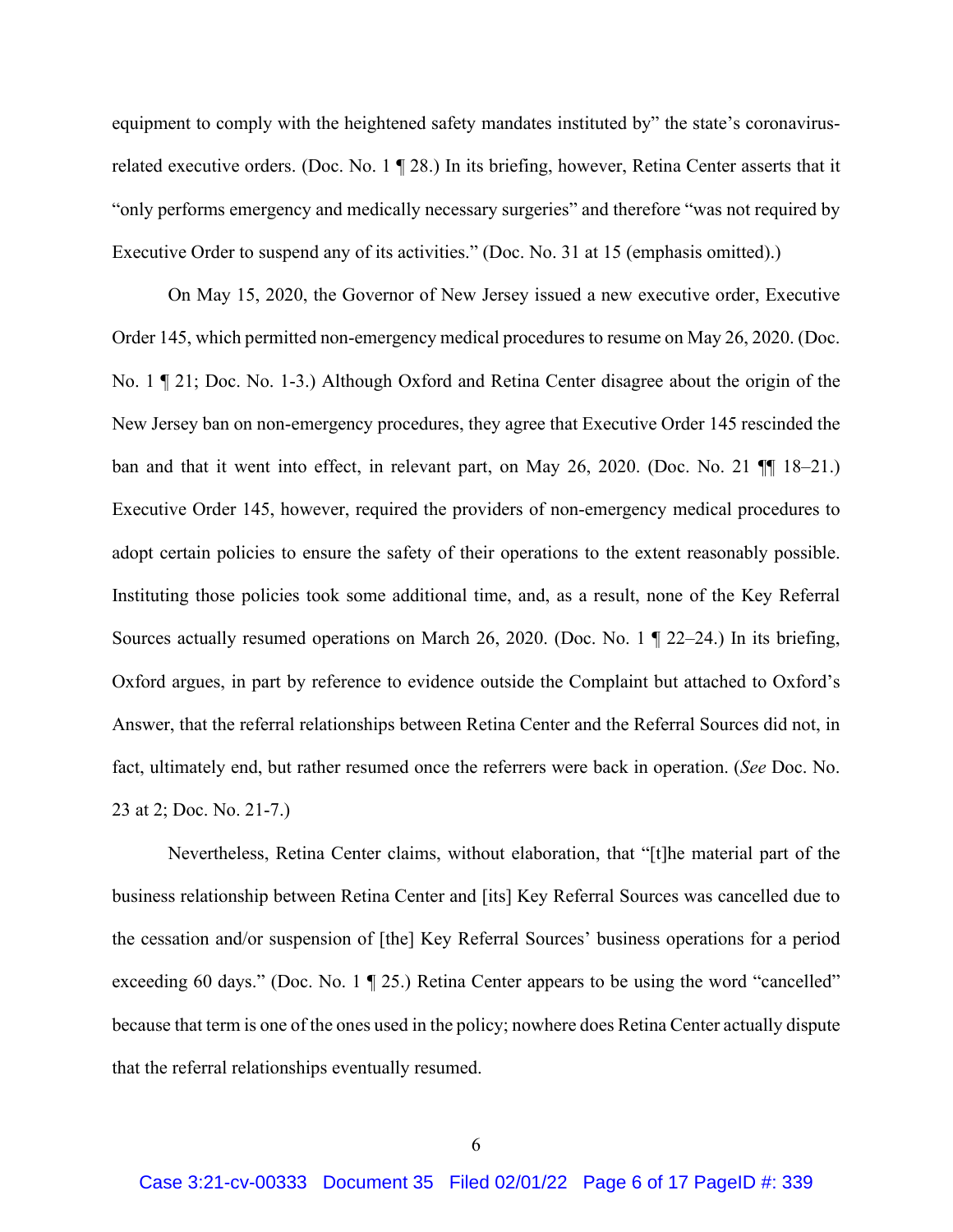equipment to comply with the heightened safety mandates instituted by" the state's coronavirusrelated executive orders. (Doc. No. 1 ¶ 28.) In its briefing, however, Retina Center asserts that it "only performs emergency and medically necessary surgeries" and therefore "was not required by Executive Order to suspend any of its activities." (Doc. No. 31 at 15 (emphasis omitted).)

On May 15, 2020, the Governor of New Jersey issued a new executive order, Executive Order 145, which permitted non-emergency medical procedures to resume on May 26, 2020. (Doc. No. 1 ¶ 21; Doc. No. 1-3.) Although Oxford and Retina Center disagree about the origin of the New Jersey ban on non-emergency procedures, they agree that Executive Order 145 rescinded the ban and that it went into effect, in relevant part, on May 26, 2020. (Doc. No. 21 ¶¶ 18–21.) Executive Order 145, however, required the providers of non-emergency medical procedures to adopt certain policies to ensure the safety of their operations to the extent reasonably possible. Instituting those policies took some additional time, and, as a result, none of the Key Referral Sources actually resumed operations on March 26, 2020. (Doc. No. 1 ¶ 22–24.) In its briefing, Oxford argues, in part by reference to evidence outside the Complaint but attached to Oxford's Answer, that the referral relationships between Retina Center and the Referral Sources did not, in fact, ultimately end, but rather resumed once the referrers were back in operation. (*See* Doc. No. 23 at 2; Doc. No. 21-7.)

Nevertheless, Retina Center claims, without elaboration, that "[t]he material part of the business relationship between Retina Center and [its] Key Referral Sources was cancelled due to the cessation and/or suspension of [the] Key Referral Sources' business operations for a period exceeding 60 days." (Doc. No. 1 ¶ 25.) Retina Center appears to be using the word "cancelled" because that term is one of the ones used in the policy; nowhere does Retina Center actually dispute that the referral relationships eventually resumed.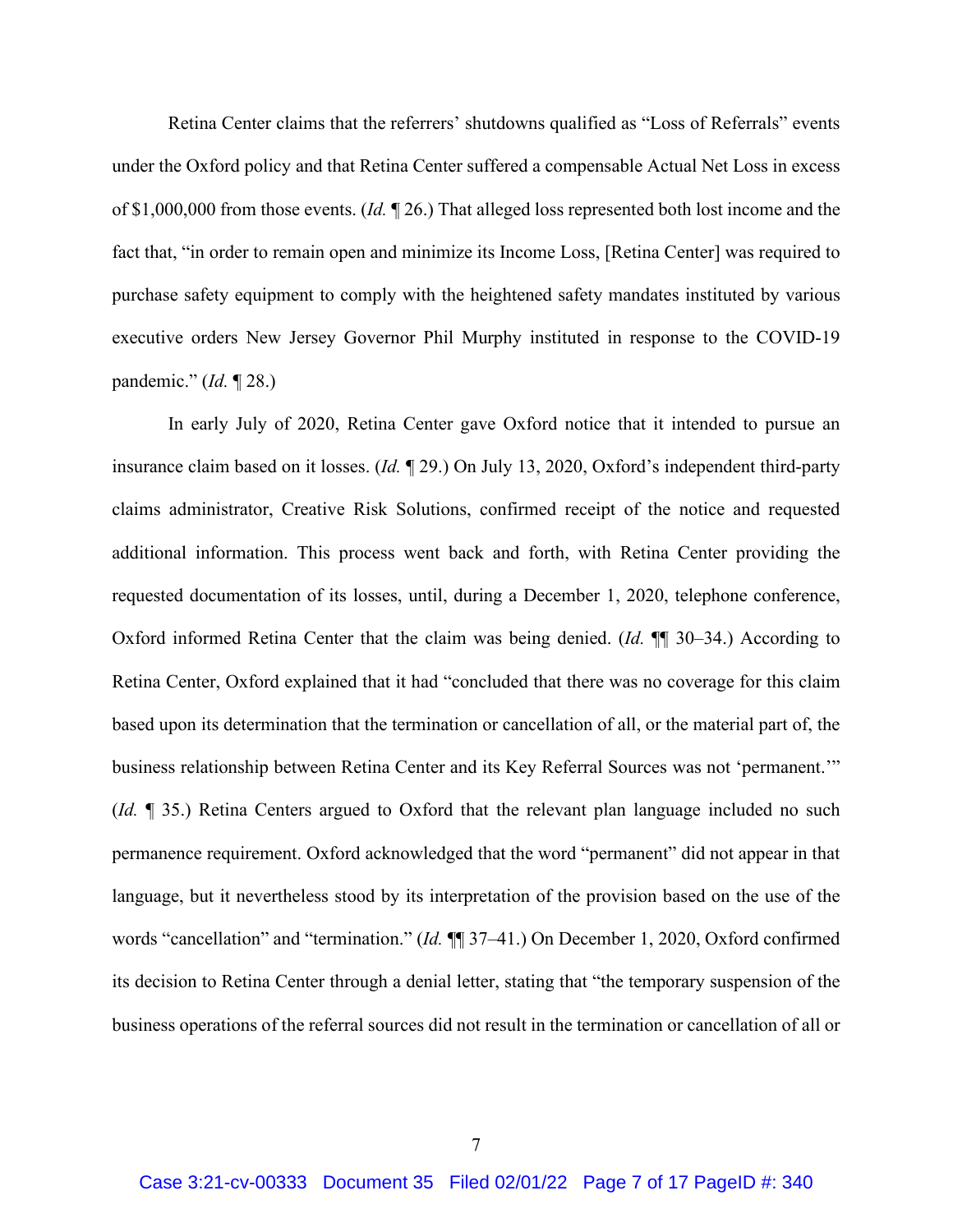Retina Center claims that the referrers' shutdowns qualified as "Loss of Referrals" events under the Oxford policy and that Retina Center suffered a compensable Actual Net Loss in excess of \$1,000,000 from those events. (*Id.* ¶ 26.) That alleged loss represented both lost income and the fact that, "in order to remain open and minimize its Income Loss, [Retina Center] was required to purchase safety equipment to comply with the heightened safety mandates instituted by various executive orders New Jersey Governor Phil Murphy instituted in response to the COVID-19 pandemic." (*Id.* ¶ 28.)

In early July of 2020, Retina Center gave Oxford notice that it intended to pursue an insurance claim based on it losses. (*Id.* ¶ 29.) On July 13, 2020, Oxford's independent third-party claims administrator, Creative Risk Solutions, confirmed receipt of the notice and requested additional information. This process went back and forth, with Retina Center providing the requested documentation of its losses, until, during a December 1, 2020, telephone conference, Oxford informed Retina Center that the claim was being denied. (*Id.* ¶¶ 30–34.) According to Retina Center, Oxford explained that it had "concluded that there was no coverage for this claim based upon its determination that the termination or cancellation of all, or the material part of, the business relationship between Retina Center and its Key Referral Sources was not 'permanent.'" (*Id.* ¶ 35.) Retina Centers argued to Oxford that the relevant plan language included no such permanence requirement. Oxford acknowledged that the word "permanent" did not appear in that language, but it nevertheless stood by its interpretation of the provision based on the use of the words "cancellation" and "termination." (*Id.* ¶¶ 37–41.) On December 1, 2020, Oxford confirmed its decision to Retina Center through a denial letter, stating that "the temporary suspension of the business operations of the referral sources did not result in the termination or cancellation of all or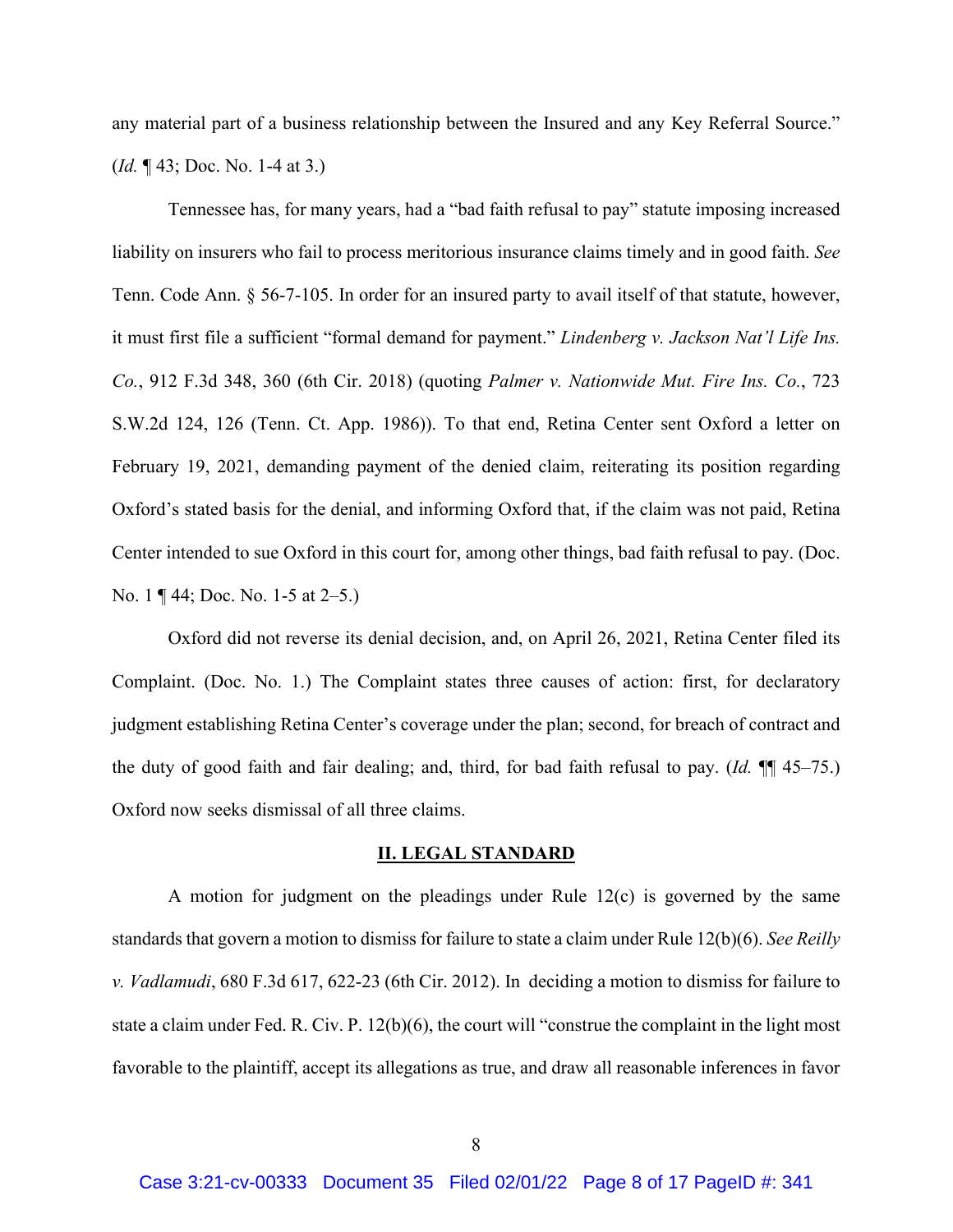any material part of a business relationship between the Insured and any Key Referral Source." (*Id.* ¶ 43; Doc. No. 1-4 at 3.)

Tennessee has, for many years, had a "bad faith refusal to pay" statute imposing increased liability on insurers who fail to process meritorious insurance claims timely and in good faith. *See* Tenn. Code Ann. § 56-7-105. In order for an insured party to avail itself of that statute, however, it must first file a sufficient "formal demand for payment." *Lindenberg v. Jackson Nat'l Life Ins. Co.*, 912 F.3d 348, 360 (6th Cir. 2018) (quoting *Palmer v. Nationwide Mut. Fire Ins. Co.*, 723 S.W.2d 124, 126 (Tenn. Ct. App. 1986)). To that end, Retina Center sent Oxford a letter on February 19, 2021, demanding payment of the denied claim, reiterating its position regarding Oxford's stated basis for the denial, and informing Oxford that, if the claim was not paid, Retina Center intended to sue Oxford in this court for, among other things, bad faith refusal to pay. (Doc. No. 1 ¶ 44; Doc. No. 1-5 at 2–5.)

Oxford did not reverse its denial decision, and, on April 26, 2021, Retina Center filed its Complaint. (Doc. No. 1.) The Complaint states three causes of action: first, for declaratory judgment establishing Retina Center's coverage under the plan; second, for breach of contract and the duty of good faith and fair dealing; and, third, for bad faith refusal to pay. (*Id.* ¶¶ 45–75.) Oxford now seeks dismissal of all three claims.

### **II. LEGAL STANDARD**

A motion for judgment on the pleadings under Rule 12(c) is governed by the same standards that govern a motion to dismiss for failure to state a claim under Rule 12(b)(6). *See Reilly v. Vadlamudi*, 680 F.3d 617, 622-23 (6th Cir. 2012). In deciding a motion to dismiss for failure to state a claim under Fed. R. Civ. P. 12(b)(6), the court will "construe the complaint in the light most favorable to the plaintiff, accept its allegations as true, and draw all reasonable inferences in favor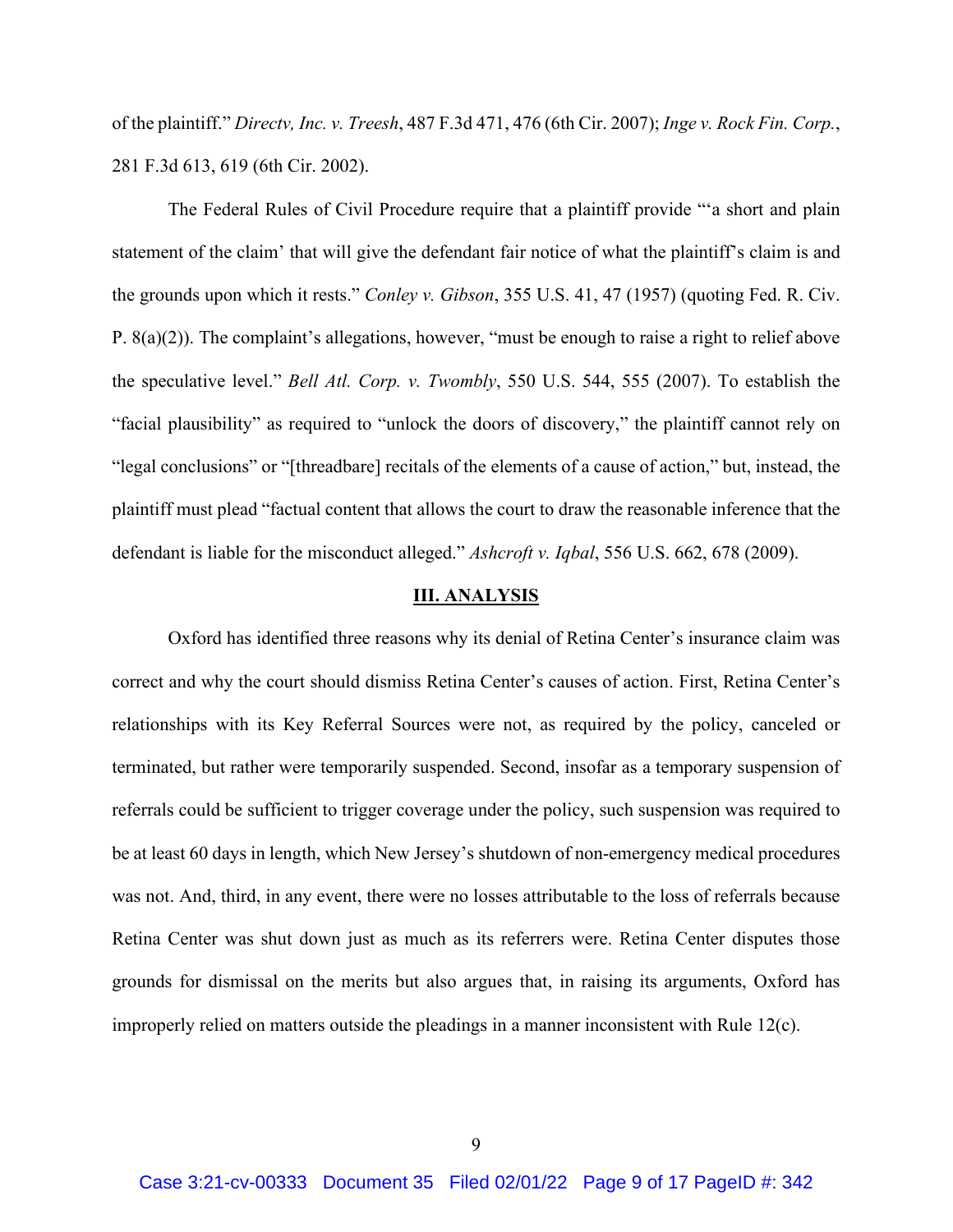of the plaintiff." *Directv, Inc. v. Treesh*, 487 F.3d 471, 476 (6th Cir. 2007); *Inge v. Rock Fin. Corp.*, 281 F.3d 613, 619 (6th Cir. 2002).

The Federal Rules of Civil Procedure require that a plaintiff provide "'a short and plain statement of the claim' that will give the defendant fair notice of what the plaintiff's claim is and the grounds upon which it rests." *Conley v. Gibson*, 355 U.S. 41, 47 (1957) (quoting Fed. R. Civ. P. 8(a)(2)). The complaint's allegations, however, "must be enough to raise a right to relief above the speculative level." *Bell Atl. Corp. v. Twombly*, 550 U.S. 544, 555 (2007). To establish the "facial plausibility" as required to "unlock the doors of discovery," the plaintiff cannot rely on "legal conclusions" or "[threadbare] recitals of the elements of a cause of action," but, instead, the plaintiff must plead "factual content that allows the court to draw the reasonable inference that the defendant is liable for the misconduct alleged." *Ashcroft v. Iqbal*, 556 U.S. 662, 678 (2009).

## **III. ANALYSIS**

Oxford has identified three reasons why its denial of Retina Center's insurance claim was correct and why the court should dismiss Retina Center's causes of action. First, Retina Center's relationships with its Key Referral Sources were not, as required by the policy, canceled or terminated, but rather were temporarily suspended. Second, insofar as a temporary suspension of referrals could be sufficient to trigger coverage under the policy, such suspension was required to be at least 60 days in length, which New Jersey's shutdown of non-emergency medical procedures was not. And, third, in any event, there were no losses attributable to the loss of referrals because Retina Center was shut down just as much as its referrers were. Retina Center disputes those grounds for dismissal on the merits but also argues that, in raising its arguments, Oxford has improperly relied on matters outside the pleadings in a manner inconsistent with Rule 12(c).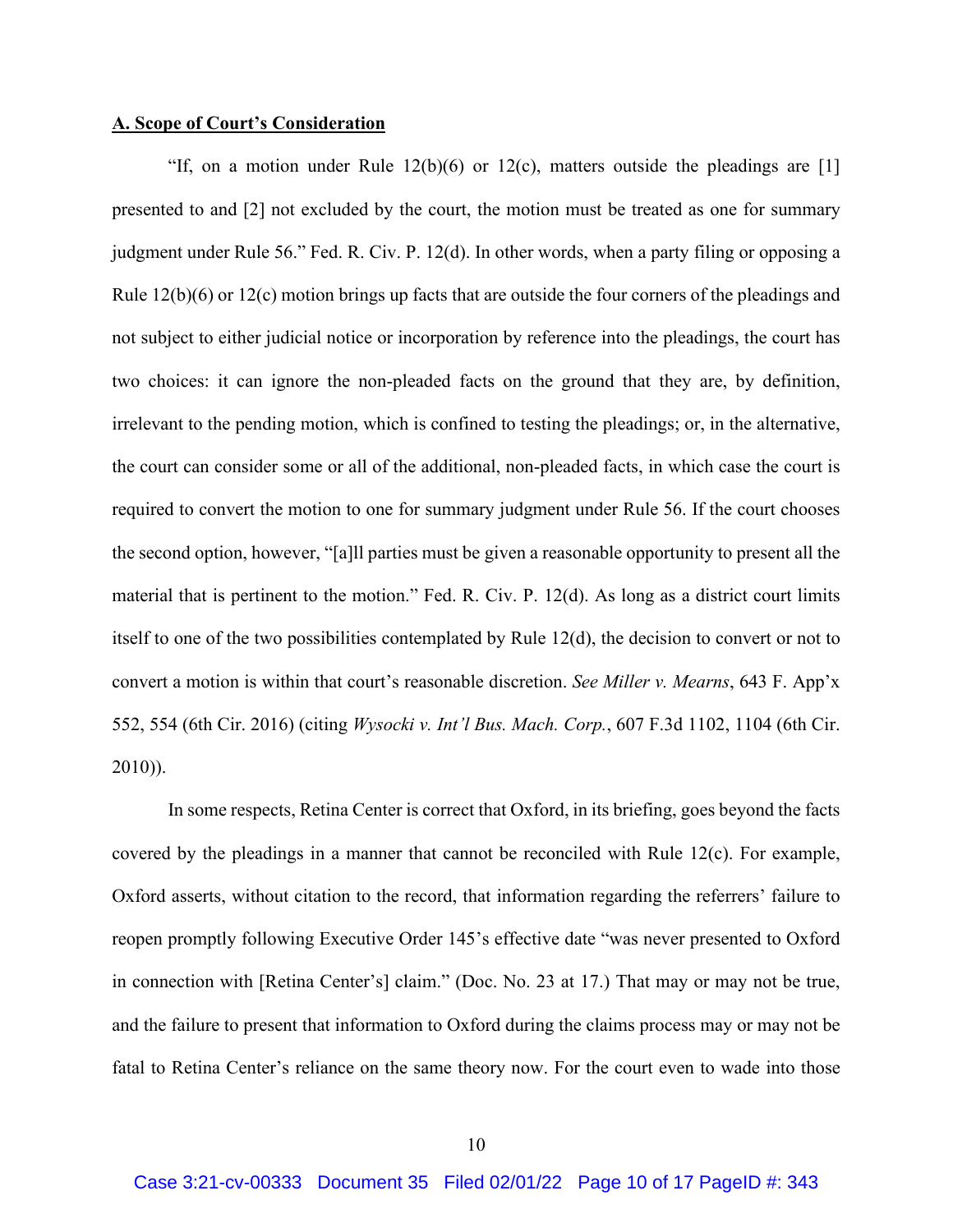## **A. Scope of Court's Consideration**

"If, on a motion under Rule  $12(b)(6)$  or  $12(c)$ , matters outside the pleadings are [1] presented to and [2] not excluded by the court, the motion must be treated as one for summary judgment under Rule 56." Fed. R. Civ. P. 12(d). In other words, when a party filing or opposing a Rule 12(b)(6) or 12(c) motion brings up facts that are outside the four corners of the pleadings and not subject to either judicial notice or incorporation by reference into the pleadings, the court has two choices: it can ignore the non-pleaded facts on the ground that they are, by definition, irrelevant to the pending motion, which is confined to testing the pleadings; or, in the alternative, the court can consider some or all of the additional, non-pleaded facts, in which case the court is required to convert the motion to one for summary judgment under Rule 56. If the court chooses the second option, however, "[a]ll parties must be given a reasonable opportunity to present all the material that is pertinent to the motion." Fed. R. Civ. P. 12(d). As long as a district court limits itself to one of the two possibilities contemplated by Rule 12(d), the decision to convert or not to convert a motion is within that court's reasonable discretion. *See Miller v. Mearns*, 643 F. App'x 552, 554 (6th Cir. 2016) (citing *Wysocki v. Int'l Bus. Mach. Corp.*, 607 F.3d 1102, 1104 (6th Cir. 2010)).

In some respects, Retina Center is correct that Oxford, in its briefing, goes beyond the facts covered by the pleadings in a manner that cannot be reconciled with Rule 12(c). For example, Oxford asserts, without citation to the record, that information regarding the referrers' failure to reopen promptly following Executive Order 145's effective date "was never presented to Oxford in connection with [Retina Center's] claim." (Doc. No. 23 at 17.) That may or may not be true, and the failure to present that information to Oxford during the claims process may or may not be fatal to Retina Center's reliance on the same theory now. For the court even to wade into those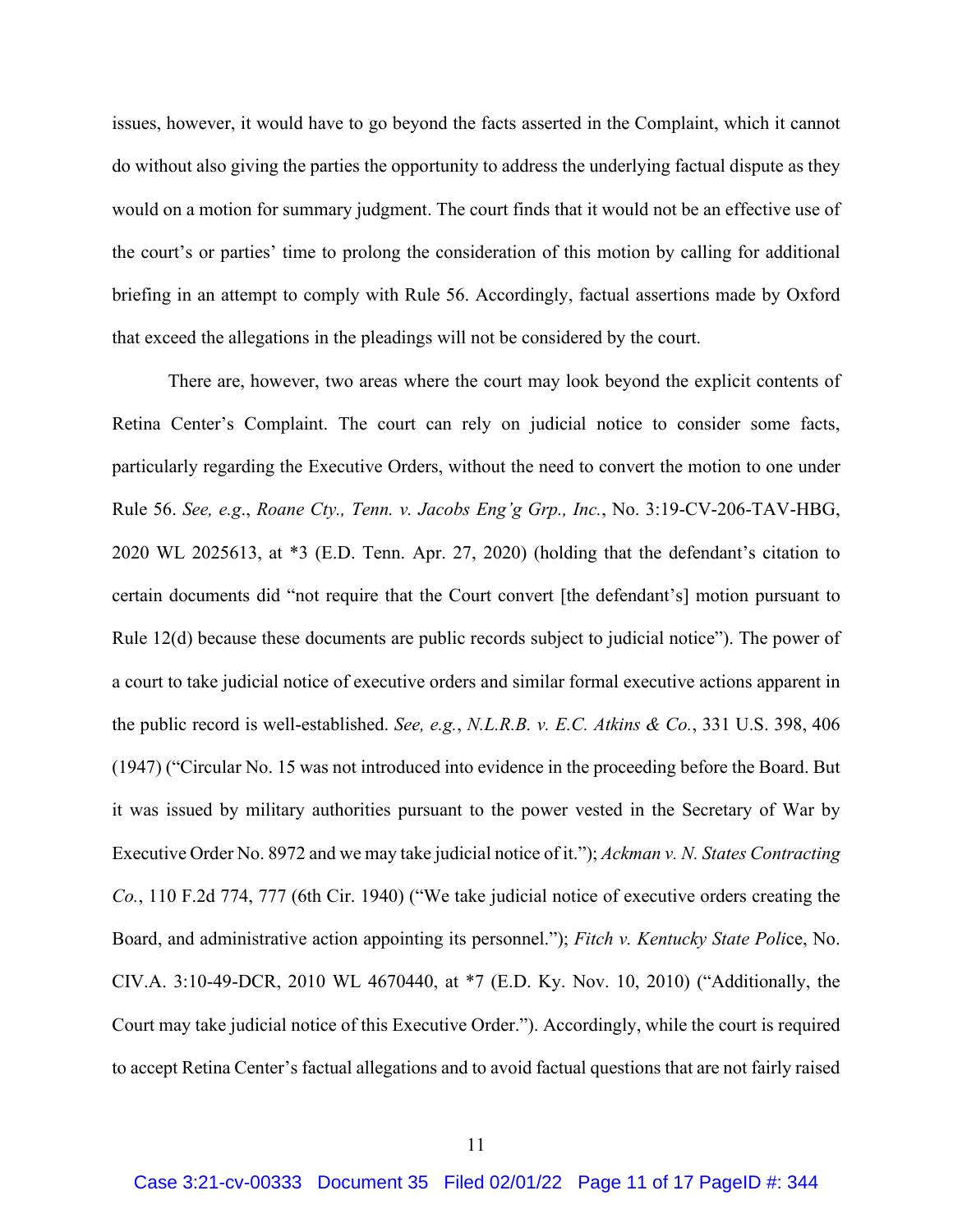issues, however, it would have to go beyond the facts asserted in the Complaint, which it cannot do without also giving the parties the opportunity to address the underlying factual dispute as they would on a motion for summary judgment. The court finds that it would not be an effective use of the court's or parties' time to prolong the consideration of this motion by calling for additional briefing in an attempt to comply with Rule 56. Accordingly, factual assertions made by Oxford that exceed the allegations in the pleadings will not be considered by the court.

There are, however, two areas where the court may look beyond the explicit contents of Retina Center's Complaint. The court can rely on judicial notice to consider some facts, particularly regarding the Executive Orders, without the need to convert the motion to one under Rule 56. *See, e.g*., *Roane Cty., Tenn. v. Jacobs Eng'g Grp., Inc.*, No. 3:19-CV-206-TAV-HBG, 2020 WL 2025613, at \*3 (E.D. Tenn. Apr. 27, 2020) (holding that the defendant's citation to certain documents did "not require that the Court convert [the defendant's] motion pursuant to Rule 12(d) because these documents are public records subject to judicial notice"). The power of a court to take judicial notice of executive orders and similar formal executive actions apparent in the public record is well-established. *See, e.g.*, *N.L.R.B. v. E.C. Atkins & Co.*, 331 U.S. 398, 406 (1947) ("Circular No. 15 was not introduced into evidence in the proceeding before the Board. But it was issued by military authorities pursuant to the power vested in the Secretary of War by Executive Order No. 8972 and we may take judicial notice of it."); *Ackman v. N. States Contracting Co.*, 110 F.2d 774, 777 (6th Cir. 1940) ("We take judicial notice of executive orders creating the Board, and administrative action appointing its personnel."); *Fitch v. Kentucky State Poli*ce, No. CIV.A. 3:10-49-DCR, 2010 WL 4670440, at \*7 (E.D. Ky. Nov. 10, 2010) ("Additionally, the Court may take judicial notice of this Executive Order."). Accordingly, while the court is required to accept Retina Center's factual allegations and to avoid factual questions that are not fairly raised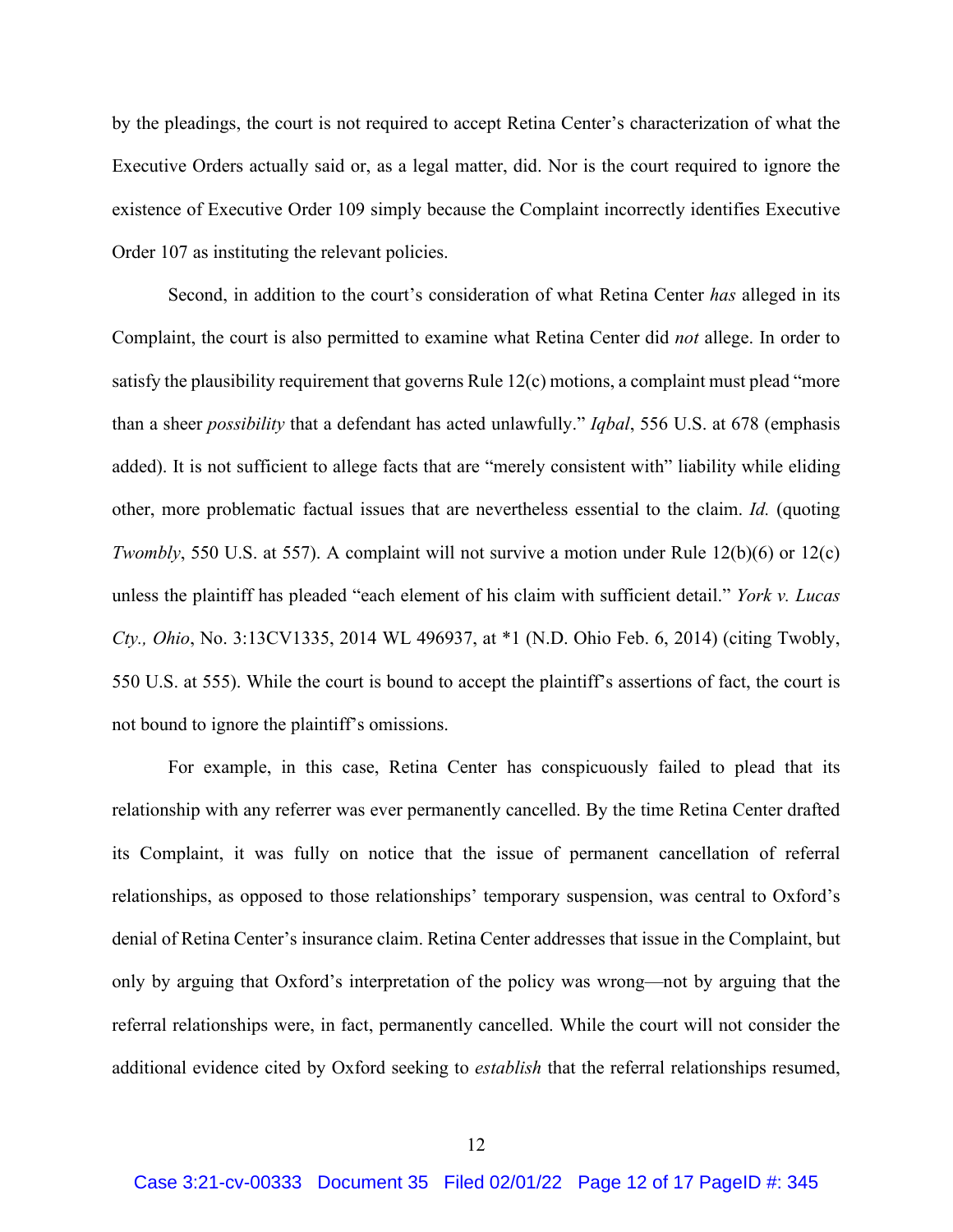by the pleadings, the court is not required to accept Retina Center's characterization of what the Executive Orders actually said or, as a legal matter, did. Nor is the court required to ignore the existence of Executive Order 109 simply because the Complaint incorrectly identifies Executive Order 107 as instituting the relevant policies.

Second, in addition to the court's consideration of what Retina Center *has* alleged in its Complaint, the court is also permitted to examine what Retina Center did *not* allege. In order to satisfy the plausibility requirement that governs Rule  $12(c)$  motions, a complaint must plead "more" than a sheer *possibility* that a defendant has acted unlawfully." *Iqbal*, 556 U.S. at 678 (emphasis added). It is not sufficient to allege facts that are "merely consistent with" liability while eliding other, more problematic factual issues that are nevertheless essential to the claim. *Id.* (quoting *Twombly*, 550 U.S. at 557). A complaint will not survive a motion under Rule 12(b)(6) or 12(c) unless the plaintiff has pleaded "each element of his claim with sufficient detail." *York v. Lucas Cty., Ohio*, No. 3:13CV1335, 2014 WL 496937, at \*1 (N.D. Ohio Feb. 6, 2014) (citing Twobly, 550 U.S. at 555). While the court is bound to accept the plaintiff's assertions of fact, the court is not bound to ignore the plaintiff's omissions.

For example, in this case, Retina Center has conspicuously failed to plead that its relationship with any referrer was ever permanently cancelled. By the time Retina Center drafted its Complaint, it was fully on notice that the issue of permanent cancellation of referral relationships, as opposed to those relationships' temporary suspension, was central to Oxford's denial of Retina Center's insurance claim. Retina Center addresses that issue in the Complaint, but only by arguing that Oxford's interpretation of the policy was wrong—not by arguing that the referral relationships were, in fact, permanently cancelled. While the court will not consider the additional evidence cited by Oxford seeking to *establish* that the referral relationships resumed,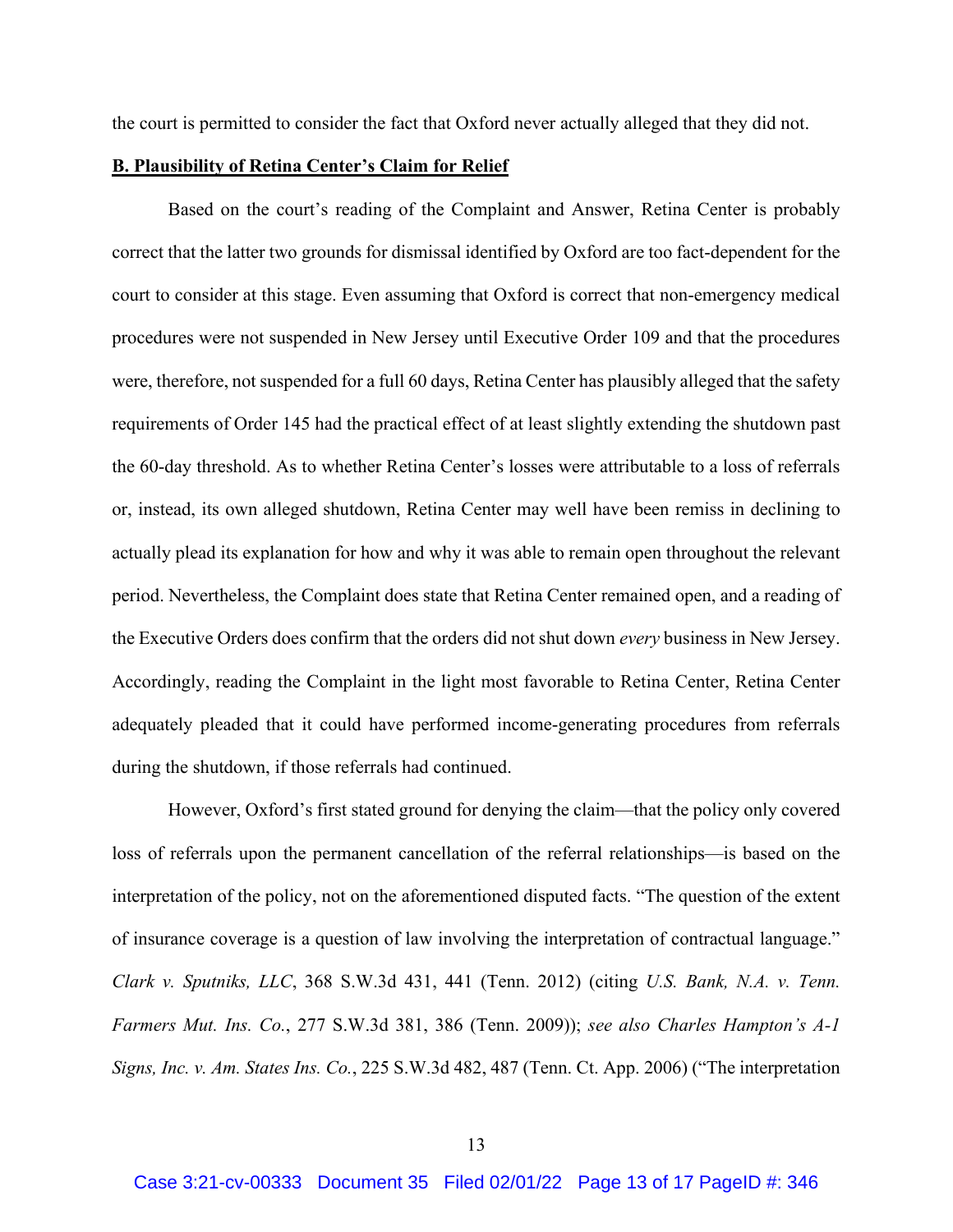the court is permitted to consider the fact that Oxford never actually alleged that they did not.

# **B. Plausibility of Retina Center's Claim for Relief**

Based on the court's reading of the Complaint and Answer, Retina Center is probably correct that the latter two grounds for dismissal identified by Oxford are too fact-dependent for the court to consider at this stage. Even assuming that Oxford is correct that non-emergency medical procedures were not suspended in New Jersey until Executive Order 109 and that the procedures were, therefore, not suspended for a full 60 days, Retina Center has plausibly alleged that the safety requirements of Order 145 had the practical effect of at least slightly extending the shutdown past the 60-day threshold. As to whether Retina Center's losses were attributable to a loss of referrals or, instead, its own alleged shutdown, Retina Center may well have been remiss in declining to actually plead its explanation for how and why it was able to remain open throughout the relevant period. Nevertheless, the Complaint does state that Retina Center remained open, and a reading of the Executive Orders does confirm that the orders did not shut down *every* business in New Jersey. Accordingly, reading the Complaint in the light most favorable to Retina Center, Retina Center adequately pleaded that it could have performed income-generating procedures from referrals during the shutdown, if those referrals had continued.

However, Oxford's first stated ground for denying the claim—that the policy only covered loss of referrals upon the permanent cancellation of the referral relationships—is based on the interpretation of the policy, not on the aforementioned disputed facts. "The question of the extent of insurance coverage is a question of law involving the interpretation of contractual language." *Clark v. Sputniks, LLC*, 368 S.W.3d 431, 441 (Tenn. 2012) (citing *U.S. Bank, N.A. v. Tenn. Farmers Mut. Ins. Co.*, 277 S.W.3d 381, 386 (Tenn. 2009)); *see also Charles Hampton's A-1 Signs, Inc. v. Am. States Ins. Co.*, 225 S.W.3d 482, 487 (Tenn. Ct. App. 2006) ("The interpretation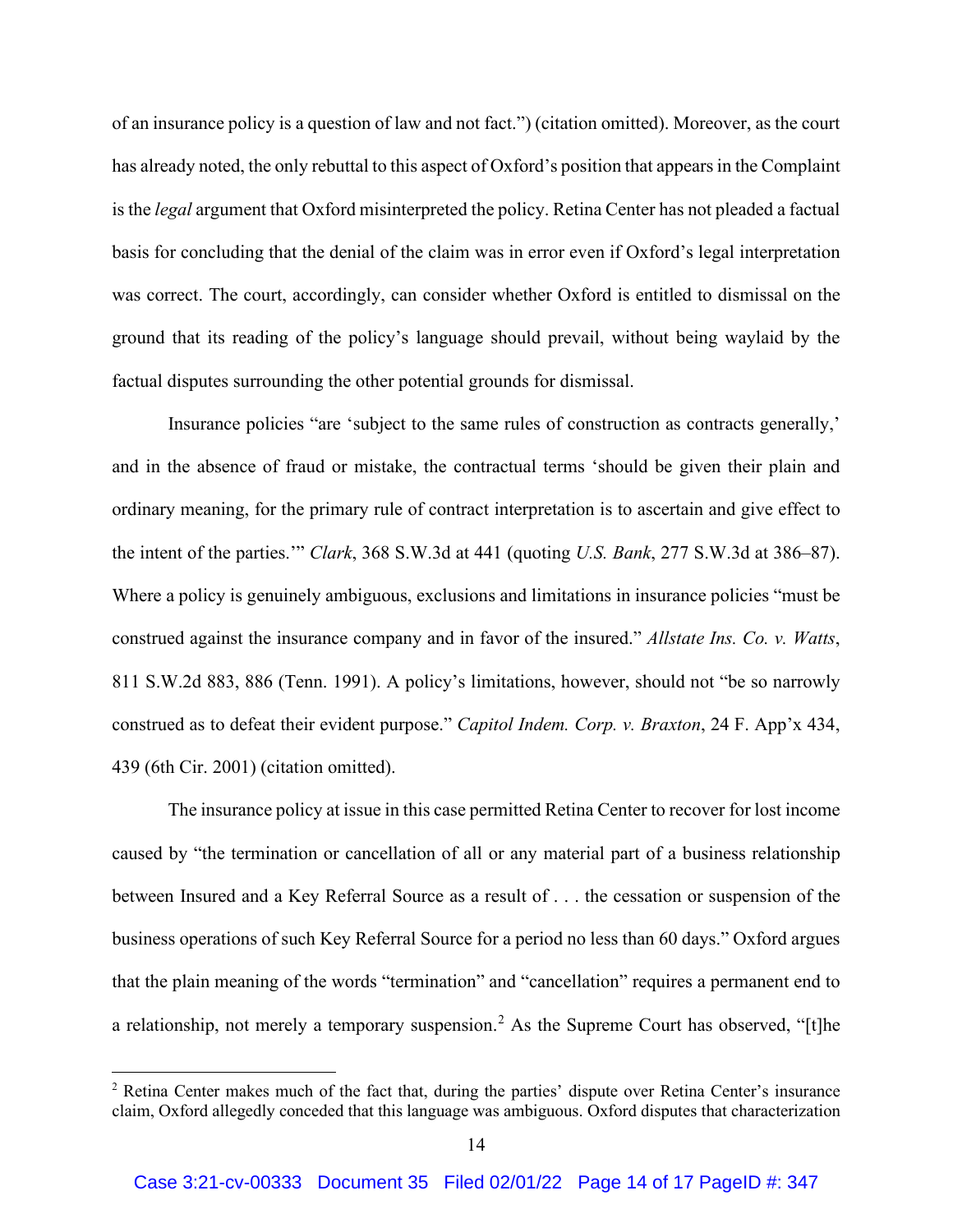of an insurance policy is a question of law and not fact.") (citation omitted). Moreover, as the court has already noted, the only rebuttal to this aspect of Oxford's position that appears in the Complaint is the *legal* argument that Oxford misinterpreted the policy. Retina Center has not pleaded a factual basis for concluding that the denial of the claim was in error even if Oxford's legal interpretation was correct. The court, accordingly, can consider whether Oxford is entitled to dismissal on the ground that its reading of the policy's language should prevail, without being waylaid by the factual disputes surrounding the other potential grounds for dismissal.

Insurance policies "are 'subject to the same rules of construction as contracts generally,' and in the absence of fraud or mistake, the contractual terms 'should be given their plain and ordinary meaning, for the primary rule of contract interpretation is to ascertain and give effect to the intent of the parties.'" *Clark*, 368 S.W.3d at 441 (quoting *U.S. Bank*, 277 S.W.3d at 386–87). Where a policy is genuinely ambiguous, exclusions and limitations in insurance policies "must be construed against the insurance company and in favor of the insured." *Allstate Ins. Co. v. Watts*, 811 S.W.2d 883, 886 (Tenn. 1991). A policy's limitations, however, should not "be so narrowly construed as to defeat their evident purpose." *Capitol Indem. Corp. v. Braxton*, 24 F. App'x 434, 439 (6th Cir. 2001) (citation omitted).

The insurance policy at issue in this case permitted Retina Center to recover for lost income caused by "the termination or cancellation of all or any material part of a business relationship between Insured and a Key Referral Source as a result of . . . the cessation or suspension of the business operations of such Key Referral Source for a period no less than 60 days." Oxford argues that the plain meaning of the words "termination" and "cancellation" requires a permanent end to a relationship, not merely a temporary suspension.<sup>2</sup> As the Supreme Court has observed, "[t]he

<sup>&</sup>lt;sup>2</sup> Retina Center makes much of the fact that, during the parties' dispute over Retina Center's insurance claim, Oxford allegedly conceded that this language was ambiguous. Oxford disputes that characterization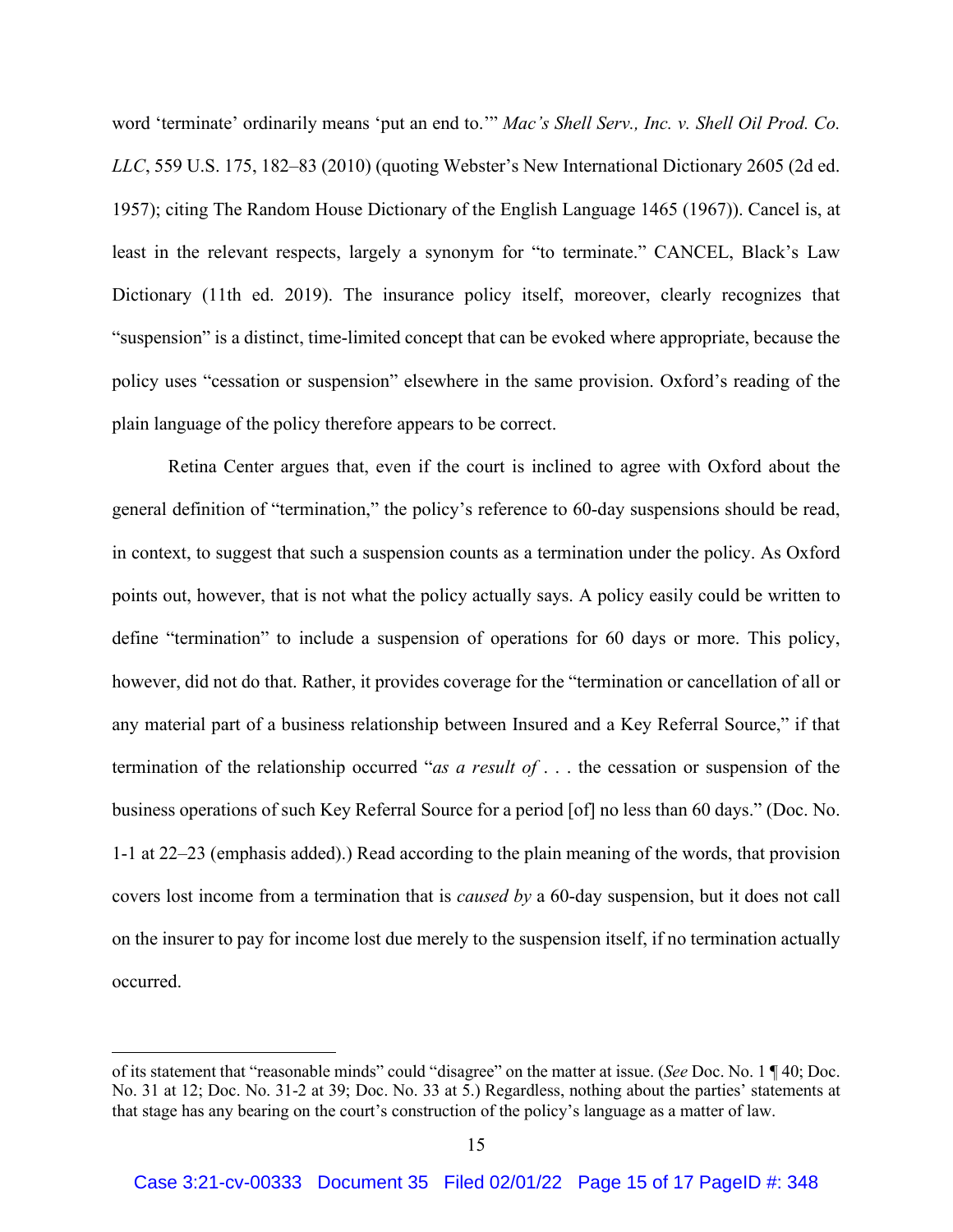word 'terminate' ordinarily means 'put an end to.'" *Mac's Shell Serv., Inc. v. Shell Oil Prod. Co. LLC*, 559 U.S. 175, 182–83 (2010) (quoting Webster's New International Dictionary 2605 (2d ed. 1957); citing The Random House Dictionary of the English Language 1465 (1967)). Cancel is, at least in the relevant respects, largely a synonym for "to terminate." CANCEL, Black's Law Dictionary (11th ed. 2019). The insurance policy itself, moreover, clearly recognizes that "suspension" is a distinct, time-limited concept that can be evoked where appropriate, because the policy uses "cessation or suspension" elsewhere in the same provision. Oxford's reading of the plain language of the policy therefore appears to be correct.

Retina Center argues that, even if the court is inclined to agree with Oxford about the general definition of "termination," the policy's reference to 60-day suspensions should be read, in context, to suggest that such a suspension counts as a termination under the policy. As Oxford points out, however, that is not what the policy actually says. A policy easily could be written to define "termination" to include a suspension of operations for 60 days or more. This policy, however, did not do that. Rather, it provides coverage for the "termination or cancellation of all or any material part of a business relationship between Insured and a Key Referral Source," if that termination of the relationship occurred "*as a result of* . . . the cessation or suspension of the business operations of such Key Referral Source for a period [of] no less than 60 days." (Doc. No. 1-1 at 22–23 (emphasis added).) Read according to the plain meaning of the words, that provision covers lost income from a termination that is *caused by* a 60-day suspension, but it does not call on the insurer to pay for income lost due merely to the suspension itself, if no termination actually occurred.

of its statement that "reasonable minds" could "disagree" on the matter at issue. (*See* Doc. No. 1 ¶ 40; Doc. No. 31 at 12; Doc. No. 31-2 at 39; Doc. No. 33 at 5.) Regardless, nothing about the parties' statements at that stage has any bearing on the court's construction of the policy's language as a matter of law.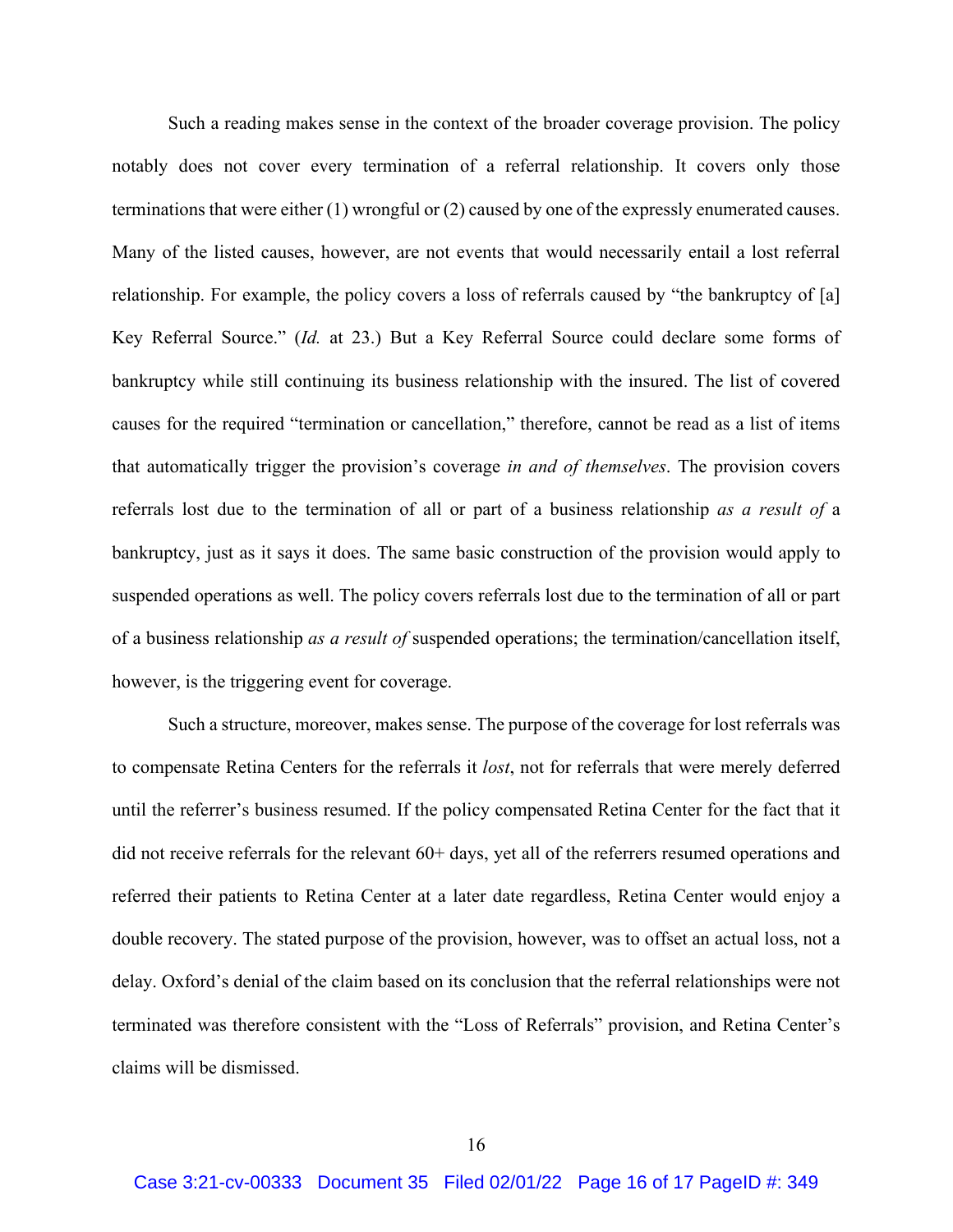Such a reading makes sense in the context of the broader coverage provision. The policy notably does not cover every termination of a referral relationship. It covers only those terminations that were either (1) wrongful or (2) caused by one of the expressly enumerated causes. Many of the listed causes, however, are not events that would necessarily entail a lost referral relationship. For example, the policy covers a loss of referrals caused by "the bankruptcy of [a] Key Referral Source." (*Id.* at 23.) But a Key Referral Source could declare some forms of bankruptcy while still continuing its business relationship with the insured. The list of covered causes for the required "termination or cancellation," therefore, cannot be read as a list of items that automatically trigger the provision's coverage *in and of themselves*. The provision covers referrals lost due to the termination of all or part of a business relationship *as a result of* a bankruptcy, just as it says it does. The same basic construction of the provision would apply to suspended operations as well. The policy covers referrals lost due to the termination of all or part of a business relationship *as a result of* suspended operations; the termination/cancellation itself, however, is the triggering event for coverage.

Such a structure, moreover, makes sense. The purpose of the coverage for lost referrals was to compensate Retina Centers for the referrals it *lost*, not for referrals that were merely deferred until the referrer's business resumed. If the policy compensated Retina Center for the fact that it did not receive referrals for the relevant 60+ days, yet all of the referrers resumed operations and referred their patients to Retina Center at a later date regardless, Retina Center would enjoy a double recovery. The stated purpose of the provision, however, was to offset an actual loss, not a delay. Oxford's denial of the claim based on its conclusion that the referral relationships were not terminated was therefore consistent with the "Loss of Referrals" provision, and Retina Center's claims will be dismissed.